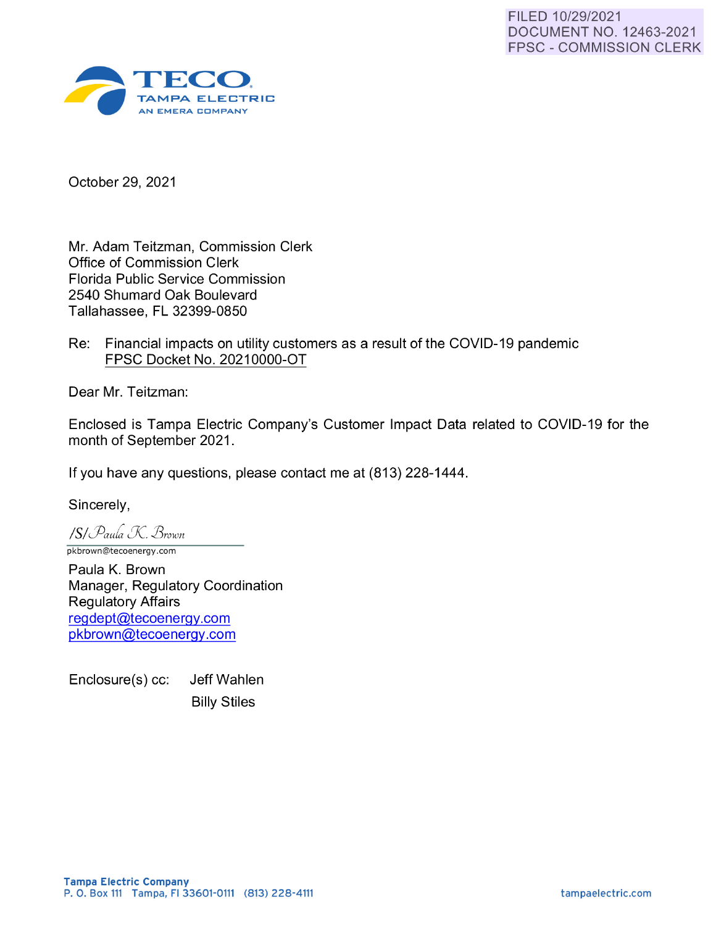

October 29, 2021

Mr. Adam Teitzman, Commission Clerk Office of Commission Clerk Florida Public Service Commission 2540 Shumard Oak Boulevard Tallahassee, FL 32399-0850

Re: Financial impacts on utility customers as a result of the COVID-19 pandemic FPSC Docket No. 20210000-0T

Dear Mr. Teitzman:

Enclosed is Tampa Electric Company's Customer Impact Data related to COVID-19 for the month of September 2021.

If you have any questions, please contact me at (813) 228-1444.

Sincerely,

*ISI Paula K. Brown* 

pkbrown@tecoenergy.com

Paula K. Brown Manager, Regulatory Coordination Regulatory Affairs [regdept@tecoenergy.com](mailto:regdept@tecoenergy.com)  [pkbrown@tecoenergy.com](mailto:pkbrown@tecoenergy.com)

Enclosure(s) cc: Jeff Wahlen Billy Stiles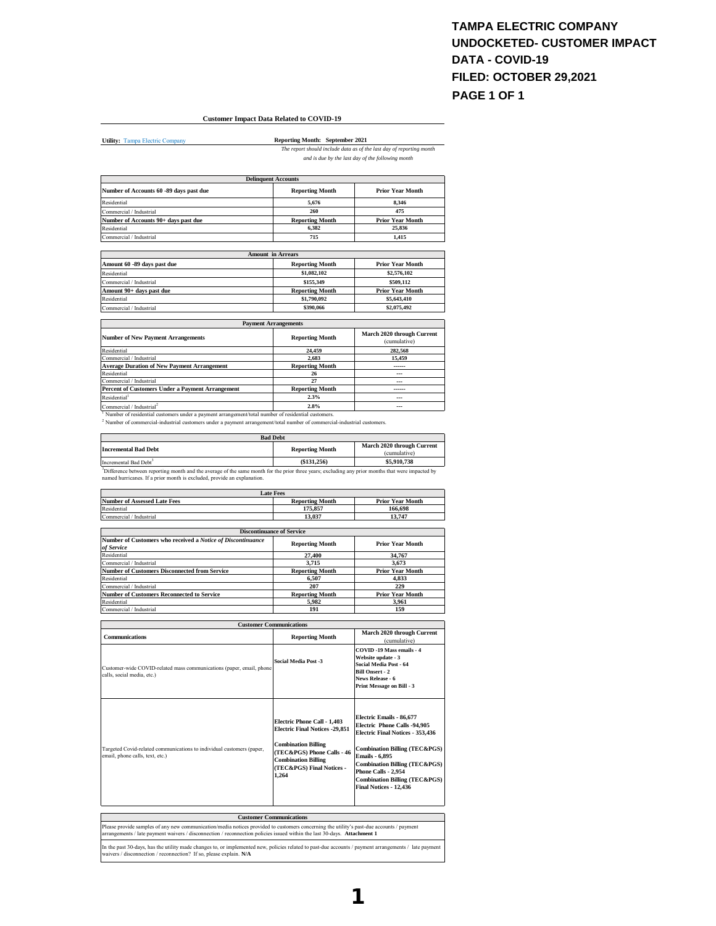#### **TAMPA ELECTRIC COMPANY UNDOCKETED- CUSTOMER IMPACT DATA - COVID-19 FILED: OCTOBER 29,2021 PAGE 1 OF 1**

#### **Customer Impact Data Related to COVID-19**

**Utility:** Tampa Electric Comp

**Reporting Month: September 2021** *The report should include data as of the last day of reporting month* 

*and is due by the last day of the following month*

|                                         | <b>Delinquent Accounts</b> |                         |
|-----------------------------------------|----------------------------|-------------------------|
| Number of Accounts 60 -89 days past due | <b>Reporting Month</b>     | <b>Prior Year Month</b> |
| Residential                             | 5.676                      | 8.346                   |
| Commercial / Industrial                 | 260                        | 475                     |
| Number of Accounts 90+ days past due    | <b>Reporting Month</b>     | <b>Prior Year Month</b> |
| Residential                             | 6.382                      | 25.836                  |
| Commercial / Industrial                 | 715                        | 1.415                   |
|                                         |                            |                         |
|                                         | <b>Amount in Arrears</b>   |                         |
| Amount 60 -89 days past due             | <b>Reporting Month</b>     | <b>Prior Year Month</b> |
| Residential                             | \$1 082 102                | \$2,576,102             |

| Residential              | \$1,082,102            | \$2,576,102             |
|--------------------------|------------------------|-------------------------|
| Commercial / Industrial  | \$155,349              | \$509,112               |
| Amount 90+ days past due | <b>Reporting Month</b> | <b>Prior Year Month</b> |
| Residential              | \$1,790,092            | \$5,643,410             |
| Commercial / Industrial  | \$390,066              | \$2,075,492             |

| <b>Payment Arrangements</b>                                                                                     |                        |                                            |
|-----------------------------------------------------------------------------------------------------------------|------------------------|--------------------------------------------|
| <b>Number of New Payment Arrangements</b>                                                                       | <b>Reporting Month</b> | March 2020 through Current<br>(cumulative) |
| Residential                                                                                                     | 24.459                 | 282.568                                    |
| Commercial / Industrial                                                                                         | 2.683                  | 15.459                                     |
| <b>Average Duration of New Payment Arrangement</b>                                                              | <b>Reporting Month</b> | ------                                     |
| Residential                                                                                                     | 26                     | $\overline{\phantom{a}}$                   |
| Commercial / Industrial                                                                                         | 27                     | ---                                        |
| Percent of Customers Under a Payment Arrangement                                                                | <b>Reporting Month</b> |                                            |
| Residential <sup>1</sup>                                                                                        | 2.3%                   | $\overline{\phantom{a}}$                   |
| Commercial / Industrial <sup>2</sup>                                                                            | 2.8%                   | $- - -$                                    |
| <sup>1</sup> Number of residential customers under a payment arrangement/total number of residential customers. |                        |                                            |

2 Number of commercial-industrial customers under a payment arrangement/total number of commercial-industrial customers.

| <b>Bad Debt</b>                   |                        |                                            |
|-----------------------------------|------------------------|--------------------------------------------|
| <b>Incremental Bad Debt</b>       | <b>Reporting Month</b> | March 2020 through Current<br>(cumulative) |
| Incremental Bad Debt <sup>3</sup> | (\$131.256)            | \$5,910,738                                |

Incremental Bad Debt<sup>3</sup> **S5,910,738** (\$131,256) **S5,910,738**<br><sup>2</sup> Difference between reporting month and the average of the same month for the prior three years; excluding any prior months that were impacted by named hurri

| Late Fees                    |                        |                         |
|------------------------------|------------------------|-------------------------|
| Number of Assessed Late Fees | <b>Reporting Month</b> | <b>Prior Year Month</b> |
| Residential                  | 175.857                | 166.698                 |
| Commercial / Industrial      | 13.037                 | 13.747                  |
|                              |                        |                         |

| <b>Discontinuance of Service</b>                                          |                        |                         |
|---------------------------------------------------------------------------|------------------------|-------------------------|
| Number of Customers who received a Notice of Discontinuance<br>of Service | <b>Reporting Month</b> | <b>Prior Year Month</b> |
| Residential                                                               | 27.400                 | 34,767                  |
| Commercial / Industrial                                                   | 3.715                  | 3.673                   |
| <b>Number of Customers Disconnected from Service</b>                      | <b>Reporting Month</b> | <b>Prior Year Month</b> |
| Residential                                                               | 6.507                  | 4.833                   |
| Commercial / Industrial                                                   | 207                    | 229                     |
| <b>Number of Customers Reconnected to Service</b>                         | <b>Reporting Month</b> | <b>Prior Year Month</b> |
| Residential                                                               | 5.982                  | 3.961                   |
| Commercial / Industrial                                                   | 191                    | 159                     |

|                                                                                                                                                                                                                                                                      | <b>Customer Communications</b>                                                                                                                                                                       |                                                                                                                                                                                                                                                                                                                   |
|----------------------------------------------------------------------------------------------------------------------------------------------------------------------------------------------------------------------------------------------------------------------|------------------------------------------------------------------------------------------------------------------------------------------------------------------------------------------------------|-------------------------------------------------------------------------------------------------------------------------------------------------------------------------------------------------------------------------------------------------------------------------------------------------------------------|
| <b>Communications</b>                                                                                                                                                                                                                                                | <b>Reporting Month</b>                                                                                                                                                                               | March 2020 through Current<br>(cumulative)                                                                                                                                                                                                                                                                        |
| Customer-wide COVID-related mass communications (paper, email, phone<br>calls, social media, etc.)                                                                                                                                                                   | <b>Social Media Post -3</b>                                                                                                                                                                          | COVID-19 Mass emails - 4<br>Website update - 3<br>Social Media Post - 64<br><b>Bill Onsert - 2</b><br>News Release - 6<br>Print Message on Bill - 3                                                                                                                                                               |
| Targeted Covid-related communications to individual customers (paper,<br>email, phone calls, text, etc.)                                                                                                                                                             | Electric Phone Call - 1.403<br><b>Electric Final Notices -29,851</b><br><b>Combination Billing</b><br>(TEC&PGS) Phone Calls - 46<br><b>Combination Billing</b><br>(TEC&PGS) Final Notices -<br>1.264 | Electric Emails - 86.677<br>Electric Phone Calls -94.905<br><b>Electric Final Notices - 353.436</b><br><b>Combination Billing (TEC&amp;PGS)</b><br><b>Emails - 6,895</b><br><b>Combination Billing (TEC&amp;PGS)</b><br>Phone Calls - 2,954<br><b>Combination Billing (TEC&amp;PGS)</b><br>Final Notices - 12.436 |
|                                                                                                                                                                                                                                                                      | <b>Customer Communications</b>                                                                                                                                                                       |                                                                                                                                                                                                                                                                                                                   |
| Please provide samples of any new communication/media notices provided to customers concerning the utility's past-due accounts / payment<br>arrangements / late payment waivers / disconnection / reconnection policies issued within the last 30-days. Attachment 1 |                                                                                                                                                                                                      |                                                                                                                                                                                                                                                                                                                   |

In the past 30-days, has the utility made changes to, or implemented new, policies related to past-due accounts / payment arrangements / late payment<br>waivers / disconnection / reconnection? If so, please explain. N/A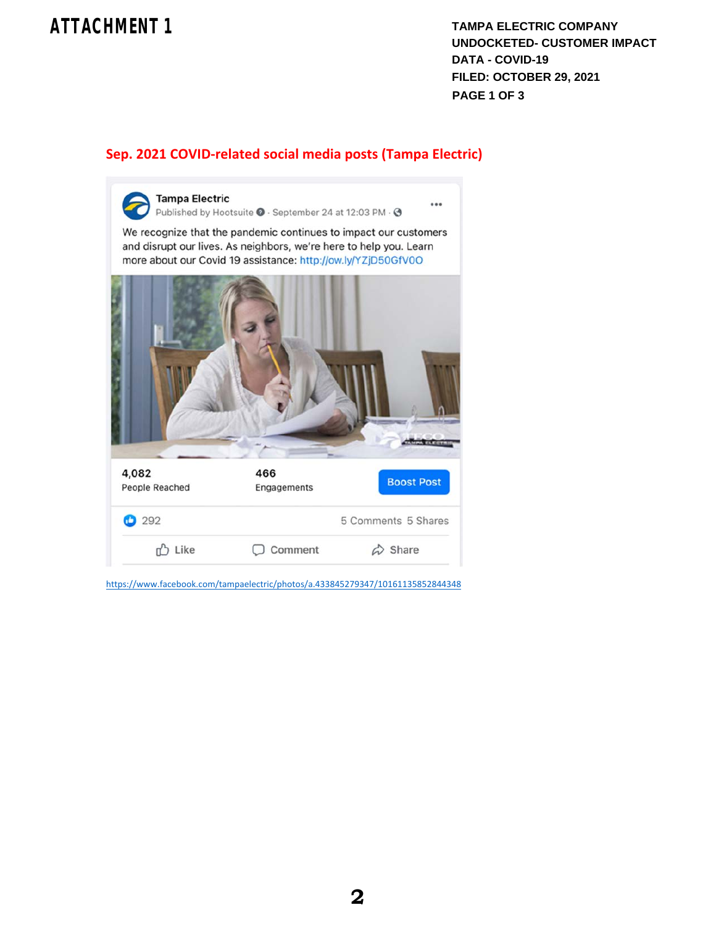# **ATTACHMENT 1**

**TAMPA ELECTRIC COMPANY UNDOCKETED- CUSTOMER IMPACT DATA - COVID-19 FILED: OCTOBER 29, 2021 PAGE 1 OF 3**

### **Sep. 2021 COVID‐related social media posts (Tampa Electric)**



https://www.facebook.com/tampaelectric/photos/a.433845279347/10161135852844348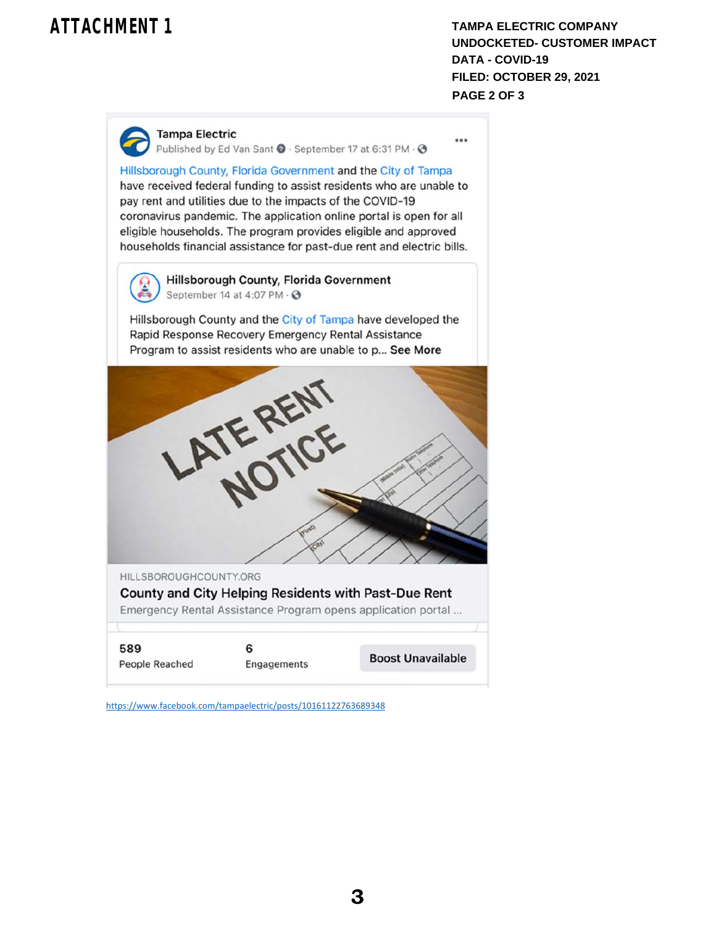# **ATTACHMENT 1**

**TAMPA ELECTRIC COMPANY UNDOCKETED- CUSTOMER IMPACT DATA - COVID-19 FILED: OCTOBER 29, 2021 PAGE 2 OF 3**

...

**Tampa Electric** 

Published by Ed Van Sant ● · September 17 at 6:31 PM · ●

Hillsborough County, Florida Government and the City of Tampa have received federal funding to assist residents who are unable to pay rent and utilities due to the impacts of the COVID-19 coronavirus pandemic. The application online portal is open for all eligible households. The program provides eligible and approved households financial assistance for past-due rent and electric bills.



**Hillsborough County, Florida Government** September 14 at 4:07 PM · 3

Hillsborough County and the City of Tampa have developed the Rapid Response Recovery Emergency Rental Assistance Program to assist residents who are unable to p... See More



https://www.facebook.com/tampaelectric/posts/10161122763689348